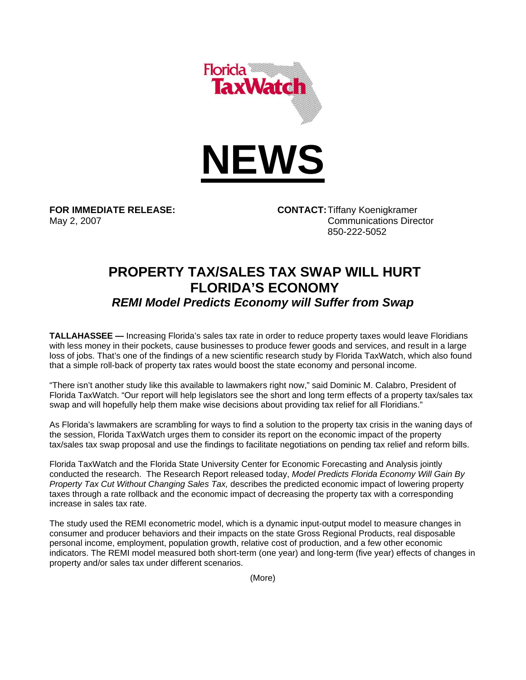

**FOR IMMEDIATE RELEASE: CONTACT:** Tiffany Koenigkramer May 2, 2007 **Communications Director** 850-222-5052

## **PROPERTY TAX/SALES TAX SWAP WILL HURT FLORIDA'S ECONOMY**  *REMI Model Predicts Economy will Suffer from Swap*

**TALLAHASSEE —** Increasing Florida's sales tax rate in order to reduce property taxes would leave Floridians with less money in their pockets, cause businesses to produce fewer goods and services, and result in a large loss of jobs. That's one of the findings of a new scientific research study by Florida TaxWatch, which also found that a simple roll-back of property tax rates would boost the state economy and personal income.

"There isn't another study like this available to lawmakers right now," said Dominic M. Calabro, President of Florida TaxWatch. "Our report will help legislators see the short and long term effects of a property tax/sales tax swap and will hopefully help them make wise decisions about providing tax relief for all Floridians."

As Florida's lawmakers are scrambling for ways to find a solution to the property tax crisis in the waning days of the session, Florida TaxWatch urges them to consider its report on the economic impact of the property tax/sales tax swap proposal and use the findings to facilitate negotiations on pending tax relief and reform bills.

Florida TaxWatch and the Florida State University Center for Economic Forecasting and Analysis jointly conducted the research. The Research Report released today, *Model Predicts Florida Economy Will Gain By Property Tax Cut Without Changing Sales Tax,* describes the predicted economic impact of lowering property taxes through a rate rollback and the economic impact of decreasing the property tax with a corresponding increase in sales tax rate.

The study used the REMI econometric model, which is a dynamic input-output model to measure changes in consumer and producer behaviors and their impacts on the state Gross Regional Products, real disposable personal income, employment, population growth, relative cost of production, and a few other economic indicators. The REMI model measured both short-term (one year) and long-term (five year) effects of changes in property and/or sales tax under different scenarios.

(More)